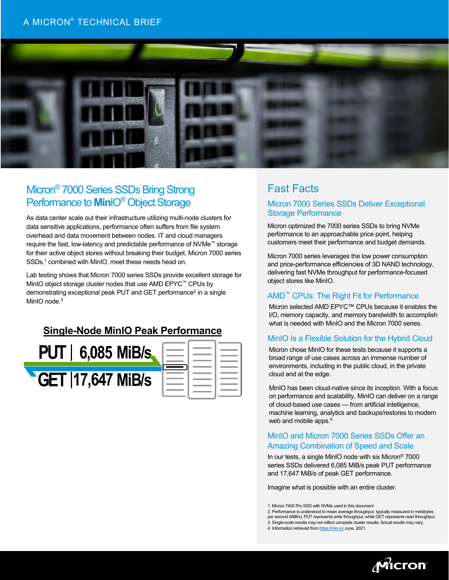## A MICRON® TECHNICAL BRIEF



# Micron® 7000 Series SSDs Bring Strong Performance to **MinIO<sup>®</sup>** Object Storage

As data center scale out their infrastructure utilizing multi-node clusters for data sensitive applications, performance often suffers from file system overhead and data movement between nodes. IT and cloud managers require the fast, low-latency and predictable performance of NVMe™ storage for their active object stores without breaking their budget. Micron 7000 series SSDs, <sup>1</sup> combined with MinIO, meet these needs head on.

Lab testing shows that Micron 7000 series SSDs provide excellent storage for MinIO object storage cluster nodes that use AMD EPYC™ CPUs by demonstrating exceptional peak PUT and GET performance2 in a single MinIO node.<sup>3</sup>

## **Single-Node MinIO Peak Performance**



| the control of the control of the                                                                                                                                                                                                    |                                                                                                                                                                                                                                      |                                                                                                                                                                                                                                      |
|--------------------------------------------------------------------------------------------------------------------------------------------------------------------------------------------------------------------------------------|--------------------------------------------------------------------------------------------------------------------------------------------------------------------------------------------------------------------------------------|--------------------------------------------------------------------------------------------------------------------------------------------------------------------------------------------------------------------------------------|
| $\sim$ $\sim$                                                                                                                                                                                                                        |                                                                                                                                                                                                                                      | ____                                                                                                                                                                                                                                 |
| $\begin{array}{c} \begin{array}{c} \begin{array}{c} \begin{array}{c} \end{array} \\ \end{array} \end{array} \end{array} \end{array}$                                                                                                 | <u> a strong and the strong state</u>                                                                                                                                                                                                | and the contract of the contract of                                                                                                                                                                                                  |
| $ -$                                                                                                                                                                                                                                 | <u> a shi ne shekara ta 1989 na shekara ta 1989 na shekara ta 1989 na shekara ta 1989 na shekara ta 1989 na shekara ta 1989 na shekara ta 1989 na shekara ta 1989 na shekara ta 1989 na shekara ta 1989 na shekara ta 1989 na sh</u> | <u>and the company of the company of the company of the company of the company of the company of the company of the company of the company of the company of the company of the company of the company of the company of the com</u> |
|                                                                                                                                                                                                                                      | <u> a strong and the strong state</u>                                                                                                                                                                                                | <u> a shi ne shekara ta 1989 a shekara ta 1989 a shekara ta 1989 a shekara ta 1989 a shekara ta 1989 a shekara ta 1989 a shekara ta 1989 a shekara ta 1989 a shekara ta 1989 a shekara ta 1989 a shekara ta 1989 a shekara ta 19</u> |
|                                                                                                                                                                                                                                      | <u> a strong and the strong strong and the strong strong strong and the strong strong strong strong and the strong strong strong strong strong strong strong strong strong strong strong strong strong strong strong strong stro</u> | and the state of the state of                                                                                                                                                                                                        |
| <u> a shi ne shekara ta 1989 na shekara ta 1989 na shekara ta 1989 na shekara ta 1989 na shekara ta 1989 na shekara ta 1989 na shekara ta 1989 na shekara ta 1989 na shekara ta 1989 na shekara ta 1989 na shekara ta 1989 na sh</u> |                                                                                                                                                                                                                                      | $\sim$ $\sim$                                                                                                                                                                                                                        |
| <b>Contract Contract Contract Contract</b>                                                                                                                                                                                           | <u> a strong and the strong strong and the strong strong strong and the strong strong strong strong and the strong strong strong strong strong strong strong strong strong strong strong strong strong strong strong strong stro</u> | <u> a shi ne shekara ta 1991</u>                                                                                                                                                                                                     |
| <u> a strong and the strong strong and the strong strong strong and the strong strong strong strong and the strong strong strong strong strong strong strong strong strong strong strong strong strong strong strong strong stro</u> | $ -$                                                                                                                                                                                                                                 |                                                                                                                                                                                                                                      |
|                                                                                                                                                                                                                                      |                                                                                                                                                                                                                                      |                                                                                                                                                                                                                                      |

## Fast Facts

## Micron 7000 Series SSDs Deliver Exceptional Storage Performance

Micron optimized the 7000 series SSDs to bring NVMe performance to an approachable price point, helping customers meet their performance and budget demands.

Micron 7000 series leverages the low power consumption and price-performance efficiencies of 3D NAND technology, delivering fast NVMe throughput for performance-focused object stores like MinIO.

## AMD™ CPUs: The Right Fit for Performance

Micron selected AMD EPYC™ CPUs because it enables the I/O, memory capacity, and memory bandwidth to accomplish what is needed with MinIO and the Micron 7000 series.

## MinIO Is a Flexible Solution for the Hybrid Cloud

Micron chose MinIO for these tests because it supports a broad range of use cases across an immense number of environments, including in the public cloud, in the private cloud and at the edge.

MinIO has been cloud-native since its inception. With a focus on performance and scalability, MinIO can deliver on a range of cloud-based use cases — from artificial intelligence, machine learning, analytics and backups/restores to modern web and mobile apps.4

### MinIO and Micron 7000 Series SSDs Offer an Amazing Combination of Speed and Scale

In our tests, a single MinIO node with six Micron® 7000 series SSDs delivered 6,085 MiB/s peak PUT performance and 17,647 MiB/s of peak GET performance.

Imagine what is possible with an entire cluster.

<sup>4.</sup> Information retrieved fro[m https://min.io/](https://min.io/) June, 2021.



<sup>1.</sup> Micron 7400 Pro SSD with NVMe used in this document

<sup>2.</sup> Performance is understood to mean average throughput, typically measured in mebibytes per second (MiB/s). PUT represents write throughput, while GET represents read throughput.

<sup>3.</sup> Single-node results may not reflect complete cluster results. Actual results may vary.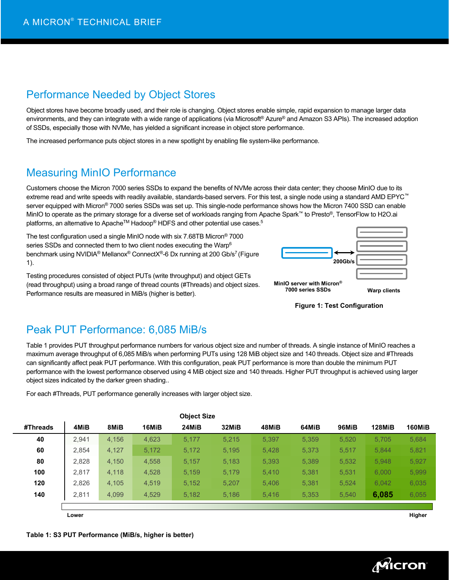## Performance Needed by Object Stores

Object stores have become broadly used, and their role is changing. Object stores enable simple, rapid expansion to manage larger data environments, and they can integrate with a wide range of applications (via Microsoft® Azure® and Amazon S3 APIs). The increased adoption of SSDs, especially those with NVMe, has yielded a significant increase in object store performance.

The increased performance puts object stores in a new spotlight by enabling file system-like performance.

# Measuring MinIO Performance

Customers choose the Micron 7000 series SSDs to expand the benefits of NVMe across their data center; they choose MinIO due to its extreme read and write speeds with readily available, standards-based servers. For this test, a single node using a standard AMD EPYC™ server equipped with Micron® 7000 series SSDs was set up. This single-node performance shows how the Micron 7400 SSD can enable MinIO to operate as the primary storage for a diverse set of workloads ranging from Apache Spark™ to Presto®, TensorFlow to H2O.ai platforms, an alternative to Apache™ Hadoop® HDFS and other potential use cases.<sup>5</sup>

The test configuration used a single MinIO node with six 7.68TB Micron® 7000 series SSDs and connected them to two client nodes executing the Warp<sup>6</sup> benchmark using NVIDIA® Mellanox® ConnectX®-6 Dx running at 200 Gb/s<sup>7</sup> (Figure 1).

Testing procedures consisted of object PUTs (write throughput) and object GETs (read throughput) using a broad range of thread counts (#Threads) and object sizes. Performance results are measured in MiB/s (higher is better).





## Peak PUT Performance: 6,085 MiB/s

Table 1 provides PUT throughput performance numbers for various object size and number of threads. A single instance of MinIO reaches a maximum average throughput of 6,085 MiB/s when performing PUTs using 128 MiB object size and 140 threads. Object size and #Threads can significantly affect peak PUT performance. With this configuration, peak PUT performance is more than double the minimum PUT performance with the lowest performance observed using 4 MiB object size and 140 threads. Higher PUT throughput is achieved using larger object sizes indicated by the darker green shading..

|          |       |       |       | <b>Object Size</b> |       |       |       |       |               |               |
|----------|-------|-------|-------|--------------------|-------|-------|-------|-------|---------------|---------------|
| #Threads | 4MiB  | 8MiB  | 16MiB | 24MiB              | 32MiB | 48MiB | 64MiB | 96MiB | <b>128MiB</b> | <b>160MiB</b> |
| 40       | 2.941 | 4,156 | 4,623 | 5,177              | 5.215 | 5,397 | 5,359 | 5,520 | 5,705         | 5,684         |
| 60       | 2.854 | 4,127 | 5,172 | 5,172              | 5.195 | 5.428 | 5,373 | 5,517 | 5.844         | 5,821         |
| 80       | 2,828 | 4,150 | 4,558 | 5.157              | 5,183 | 5,393 | 5,389 | 5,532 | 5,948         | 5,927         |
| 100      | 2,817 | 4,118 | 4,528 | 5,159              | 5,179 | 5,410 | 5,381 | 5,531 | 6,000         | 5,999         |
| 120      | 2,826 | 4,105 | 4,519 | 5,152              | 5.207 | 5.406 | 5,381 | 5,524 | 6,042         | 6,035         |
| 140      | 2,811 | 4,099 | 4,529 | 5.182              | 5.186 | 5.416 | 5.353 | 5.540 | 6,085         | 6,055         |
|          |       |       |       |                    |       |       |       |       |               |               |
|          | Lower |       |       |                    |       |       |       |       |               | Higher        |

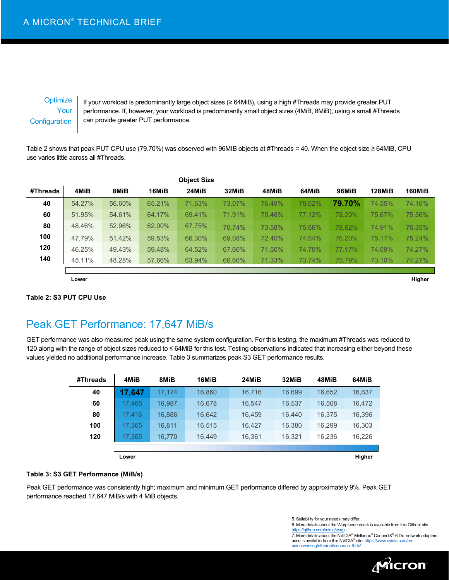## **Optimize** Your **Configuration**

If your workload is predominantly large object sizes (≥ 64MiB), using a high #Threads may provide greater PUT performance. If, however, your workload is predominantly small object sizes (4MiB, 8MiB), using a small #Threads can provide greater PUT performance.

Table 2 shows that peak PUT CPU use (79.70%) was observed with 96MIB objects at #Threads = 40. When the object size ≥ 64MiB, CPU use varies little across all #Threads.

|          |        |        |        | <b>Object Size</b> |        |        |        |        |               |        |
|----------|--------|--------|--------|--------------------|--------|--------|--------|--------|---------------|--------|
| #Threads | 4MiB   | 8MiB   | 16MiB  | 24MiB              | 32MiB  | 48MiB  | 64MiB  | 96MiB  | <b>128MiB</b> | 160MiB |
| 40       | 54.27% | 56.60% | 65.21% | 71.63%             | 73.07% | 76.49% | 78.62% | 79.70% | 74.55%        | 74.16% |
| 60       | 51.95% | 54.61% | 64.17% | 69.41%             | 71.91% | 75.46% | 77.12% | 78.20% | 75.67%        | 75.56% |
| 80       | 48.46% | 52.96% | 62.00% | 67.75%             | 70.74% | 73.58% | 75.66% | 78.62% | 74.91%        | 76.35% |
| 100      | 47.79% | 51.42% | 59.53% | 66.30%             | 69.08% | 72.40% | 74.64% | 76.20% | 75.17%        | 75.24% |
| 120      | 46.25% | 49.43% | 59.48% | 64.52%             | 67.60% | 71.50% | 74.70% | 77.17% | 74.09%        | 74.27% |
| 140      | 45.11% | 48.28% | 57.66% | 63.94%             | 66.66% | 71.33% | 73.74% | 75.79% | 73.10%        | 74.27% |
|          |        |        |        |                    |        |        |        |        |               |        |
|          | Lower  |        |        |                    |        |        |        |        |               | Higher |

### **Table 2: S3 PUT CPU Use**

Peak GET Performance: 17,647 MiB/s

GET performance was also measured peak using the same system configuration. For this testing, the maximum #Threads was reduced to 120 along with the range of object sizes reduced to ≤ 64MiB for this test. Testing observations indicated that increasing either beyond these values yielded no additional performance increase. Table 3 summarizes peak S3 GET performance results.

| #Threads | 4MiB   | 8MiB   | 16MiB  | 24MiB  | 32MiB  | 48MiB  | 64MiB  |
|----------|--------|--------|--------|--------|--------|--------|--------|
| 40       | 17,647 | 17,174 | 16,860 | 16,716 | 16,699 | 16,652 | 16,637 |
| 60       | 17.465 | 16,987 | 16,678 | 16,547 | 16,537 | 16,508 | 16,472 |
| 80       | 17.416 | 16,886 | 16,642 | 16.459 | 16.440 | 16,375 | 16,396 |
| 100      | 17.365 | 16.811 | 16,515 | 16,427 | 16,380 | 16,299 | 16,303 |
| 120      | 17,365 | 16,770 | 16,449 | 16,361 | 16,321 | 16,236 | 16,226 |
|          |        |        |        |        |        |        |        |
|          | Lower  |        |        |        |        |        | Higher |

### **Table 3: S3 GET Performance (MiB/s)**

Peak GET performance was consistently high; maximum and minimum GET performance differed by approximately 9%. Peak GET performance reached 17,647 MiB/s with 4 MiB objects.

5. Suitability for your needs may differ.

6. More details about the Warp benchmark is available from this Github: site ithub.com/min

7. More details about the NVIDIA® Mellanox® ConnectX®-6 Dx network adapters used is available from this NVIDIA<sup>®</sup> site[: https://www.nvidia.com/en](https://www.nvidia.com/en-us/networking/ethernet/connectx-6-dx/)[us/networking/ethernet/connectx-6-dx/](https://www.nvidia.com/en-us/networking/ethernet/connectx-6-dx/)

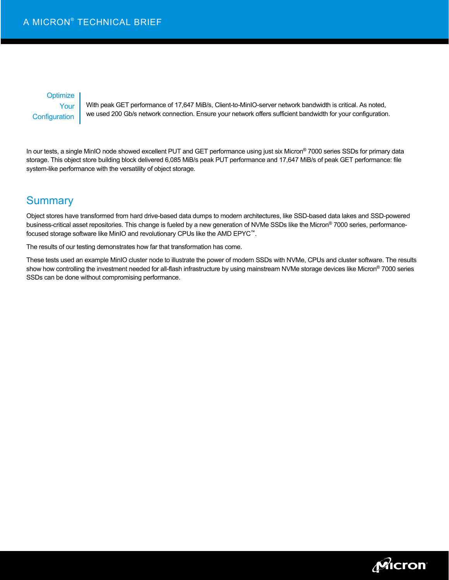### **Optimize** Your **Configuration**

With peak GET performance of 17,647 MiB/s, Client-to-MinIO-server network bandwidth is critical. As noted, we used 200 Gb/s network connection. Ensure your network offers sufficient bandwidth for your configuration.

In our tests, a single MinIO node showed excellent PUT and GET performance using just six Micron® 7000 series SSDs for primary data storage. This object store building block delivered 6,085 MiB/s peak PUT performance and 17,647 MiB/s of peak GET performance: file system-like performance with the versatility of object storage.

## **Summary**

Object stores have transformed from hard drive-based data dumps to modern architectures, like SSD-based data lakes and SSD-powered business-critical asset repositories. This change is fueled by a new generation of NVMe SSDs like the Micron® 7000 series, performancefocused storage software like MinIO and revolutionary CPUs like the AMD EPYC™.

The results of our testing demonstrates how far that transformation has come.

These tests used an example MinIO cluster node to illustrate the power of modern SSDs with NVMe, CPUs and cluster software. The results show how controlling the investment needed for all-flash infrastructure by using mainstream NVMe storage devices like Micron® 7000 series SSDs can be done without compromising performance.